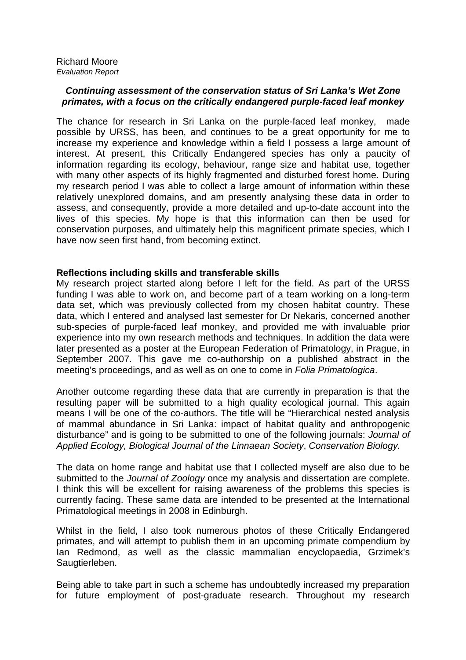## **Continuing assessment of the conservation status of Sri Lanka's Wet Zone primates, with a focus on the critically endangered purple-faced leaf monkey**

The chance for research in Sri Lanka on the purple-faced leaf monkey, made possible by URSS, has been, and continues to be a great opportunity for me to increase my experience and knowledge within a field I possess a large amount of interest. At present, this Critically Endangered species has only a paucity of information regarding its ecology, behaviour, range size and habitat use, together with many other aspects of its highly fragmented and disturbed forest home. During my research period I was able to collect a large amount of information within these relatively unexplored domains, and am presently analysing these data in order to assess, and consequently, provide a more detailed and up-to-date account into the lives of this species. My hope is that this information can then be used for conservation purposes, and ultimately help this magnificent primate species, which I have now seen first hand, from becoming extinct.

## **Reflections including skills and transferable skills**

My research project started along before I left for the field. As part of the URSS funding I was able to work on, and become part of a team working on a long-term data set, which was previously collected from my chosen habitat country. These data, which I entered and analysed last semester for Dr Nekaris, concerned another sub-species of purple-faced leaf monkey, and provided me with invaluable prior experience into my own research methods and techniques. In addition the data were later presented as a poster at the European Federation of Primatology, in Prague, in September 2007. This gave me co-authorship on a published abstract in the meeting's proceedings, and as well as on one to come in Folia Primatologica.

Another outcome regarding these data that are currently in preparation is that the resulting paper will be submitted to a high quality ecological journal. This again means I will be one of the co-authors. The title will be "Hierarchical nested analysis of mammal abundance in Sri Lanka: impact of habitat quality and anthropogenic disturbance" and is going to be submitted to one of the following journals: *Journal of* Applied Ecology, Biological Journal of the Linnaean Society, Conservation Biology.

The data on home range and habitat use that I collected myself are also due to be submitted to the Journal of Zoology once my analysis and dissertation are complete. I think this will be excellent for raising awareness of the problems this species is currently facing. These same data are intended to be presented at the International Primatological meetings in 2008 in Edinburgh.

Whilst in the field, I also took numerous photos of these Critically Endangered primates, and will attempt to publish them in an upcoming primate compendium by Ian Redmond, as well as the classic mammalian encyclopaedia, Grzimek's Saugtierleben.

Being able to take part in such a scheme has undoubtedly increased my preparation for future employment of post-graduate research. Throughout my research